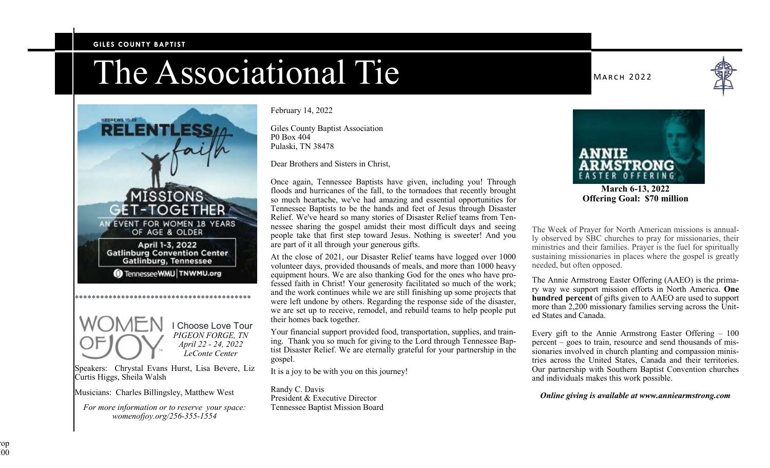#### **GILES COUNTY BAPTIST**

# The Associational Tie



 I Choose Love Tour *PIGEON FORGE, TN April 22 - 24, 2022 LeConte Center* 

Speakers: Chrystal Evans Hurst, Lisa Bevere, Liz Curtis Higgs, Sheila Walsh

Musicians: Charles Billingsley, Matthew West

*For more information or to reserve your space: womenofjoy.org/256-355-1554* 

#### February 14, 2022

Giles County Baptist Association P0 Box 404 Pulaski, TN 38478

Dear Brothers and Sisters in Christ,

Once again, Tennessee Baptists have given, including you! Through floods and hurricanes of the fall, to the tornadoes that recently brought so much heartache, we've had amazing and essential opportunities for Tennessee Baptists to be the hands and feet of Jesus through Disaster Relief. We've heard so many stories of Disaster Relief teams from Tennessee sharing the gospel amidst their most difficult days and seeing people take that first step toward Jesus. Nothing is sweeter! And you are part of it all through your generous gifts.

At the close of 2021, our Disaster Relief teams have logged over 1000 volunteer days, provided thousands of meals, and more than 1000 heavy equipment hours. We are also thanking God for the ones who have professed faith in Christ! Your generosity facilitated so much of the work; and the work continues while we are still finishing up some projects that were left undone by others. Regarding the response side of the disaster, we are set up to receive, remodel, and rebuild teams to help people put their homes back together.

Your financial support provided food, transportation, supplies, and training. Thank you so much for giving to the Lord through Tennessee Baptist Disaster Relief. We are eternally grateful for your partnership in the gospel.

It is a joy to be with you on this journey!

Randy C. Davis President & Executive Director Tennessee Baptist Mission Board

**MARCH 2022** 



**March 6-13, 2022 Offering Goal: \$70 million** 

The Week of Prayer for North American missions is annually observed by SBC churches to pray for missionaries, their ministries and their families. Prayer is the fuel for spiritually sustaining missionaries in places where the gospel is greatly needed, but often opposed.

The Annie Armstrong Easter Offering (AAEO) is the primary way we support mission efforts in North America. **One hundred percent** of gifts given to AAEO are used to support more than 2,200 missionary families serving across the United States and Canada.

Every gift to the Annie Armstrong Easter Offering – 100 percent – goes to train, resource and send thousands of missionaries involved in church planting and compassion ministries across the United States, Canada and their territories. Our partnership with Southern Baptist Convention churches and individuals makes this work possible.

#### *Online giving is available at www.anniearmstrong.com*